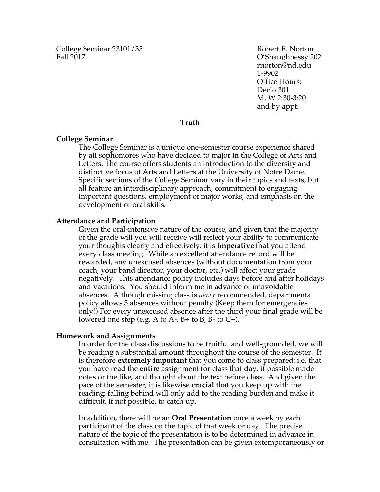College Seminar 23101/35 Robert E. Norton Fall 2017 C'Shaughnessy 202

rnorton@nd.edu 1-9902 Office Hours: Decio 301 M, W 2:30-3:20 and by appt.

# **Truth**

### **College Seminar**

The College Seminar is a unique one-semester course experience shared by all sophomores who have decided to major in the College of Arts and Letters. The course offers students an introduction to the diversity and distinctive focus of Arts and Letters at the University of Notre Dame. Specific sections of the College Seminar vary in their topics and texts, but all feature an interdisciplinary approach, commitment to engaging important questions, employment of major works, and emphasis on the development of oral skills.

#### **Attendance and Participation**

Given the oral-intensive nature of the course, and given that the majority of the grade will you will receive will reflect your ability to communicate your thoughts clearly and effectively, it is **imperative** that you attend every class meeting. While an excellent attendance record will be rewarded, any unexcused absences (without documentation from your coach, your band director, your doctor, etc.) will affect your grade negatively. This attendance policy includes days before and after holidays and vacations. You should inform me in advance of unavoidable absences. Although missing class is *never* recommended, departmental policy allows 3 absences without penalty (Keep them for emergencies only!) For every unexcused absence after the third your final grade will be lowered one step (e.g. A to A-,  $B$ + to B, B- to C+).

#### **Homework and Assignments**

In order for the class discussions to be fruitful and well-grounded, we will be reading a substantial amount throughout the course of the semester. It is therefore **extremely important** that you come to class prepared: i.e. that you have read the **entire** assignment for class that day, if possible made notes or the like, and thought about the text before class. And given the pace of the semester, it is likewise **crucial** that you keep up with the reading; falling behind will only add to the reading burden and make it difficult, if not possible, to catch up.

In addition, there will be an **Oral Presentation** once a week by each participant of the class on the topic of that week or day. The precise nature of the topic of the presentation is to be determined in advance in consultation with me. The presentation can be given extemporaneously or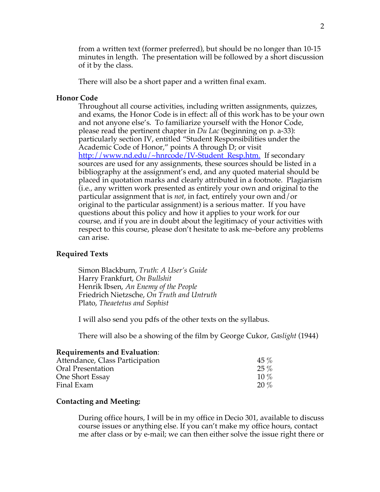from a written text (former preferred), but should be no longer than 10-15 minutes in length. The presentation will be followed by a short discussion of it by the class.

There will also be a short paper and a written final exam.

# **Honor Code**

Throughout all course activities, including written assignments, quizzes, and exams, the Honor Code is in effect: all of this work has to be your own and not anyone else's. To familiarize yourself with the Honor Code, please read the pertinent chapter in *Du Lac* (beginning on p. a-33): particularly section IV, entitled "Student Responsibilities under the Academic Code of Honor," points A through D; or visit http://www.nd.edu/~hnrcode/IV-Student\_Resp.htm. If secondary sources are used for any assignments, these sources should be listed in a bibliography at the assignment's end, and any quoted material should be placed in quotation marks and clearly attributed in a footnote. Plagiarism (i.e., any written work presented as entirely your own and original to the particular assignment that is *not*, in fact, entirely your own and/or original to the particular assignment) is a serious matter. If you have questions about this policy and how it applies to your work for our course, and if you are in doubt about the legitimacy of your activities with respect to this course, please don't hesitate to ask me–before any problems can arise.

#### **Required Texts**

Simon Blackburn, *Truth: A User's Guide* Harry Frankfurt, *On Bullshit* Henrik Ibsen, *An Enemy of the People* Friedrich Nietzsche, *On Truth and Untruth* Plato, *Theaetetus and Sophist*

I will also send you pdfs of the other texts on the syllabus.

There will also be a showing of the film by George Cukor, *Gaslight* (1944)

## **Requirements and Evaluation**:

| $45\%$  |
|---------|
| $25\%$  |
| $10\%$  |
| $20 \%$ |
|         |

# **Contacting and Meeting:**

During office hours, I will be in my office in Decio 301, available to discuss course issues or anything else. If you can't make my office hours, contact me after class or by e-mail; we can then either solve the issue right there or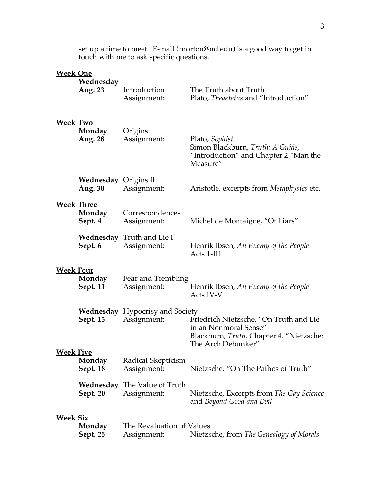set up a time to meet. E-mail (rnorton@nd.edu) is a good way to get in touch with me to ask specific questions.

# **Week One**

|                  | Wednesday<br>Aug. 23                   | Introduction<br>Assignment:                           | The Truth about Truth<br>Plato, Theaetetus and "Introduction"                                                                     |
|------------------|----------------------------------------|-------------------------------------------------------|-----------------------------------------------------------------------------------------------------------------------------------|
| Week Two         | Monday<br>Aug. 28                      | Origins<br>Assignment:                                | Plato, Sophist<br>Simon Blackburn, Truth: A Guide,<br>"Introduction" and Chapter 2 "Man the<br>Measure"                           |
|                  | <b>Wednesday</b> Origins II<br>Aug. 30 | Assignment:                                           | Aristotle, excerpts from <i>Metaphysics</i> etc.                                                                                  |
|                  | <b>Week Three</b><br>Monday<br>Sept. 4 | Correspondences<br>Assignment:                        | Michel de Montaigne, "Of Liars"                                                                                                   |
|                  | Sept. 6                                | Wednesday Truth and Lie I<br>Assignment:              | Henrik Ibsen, An Enemy of the People<br>Acts 1-III                                                                                |
| <u>Week Four</u> | Monday<br>Sept. 11                     | Fear and Trembling<br>Assignment:                     | Henrik Ibsen, An Enemy of the People<br>Acts IV-V                                                                                 |
|                  | Sept. 13                               | <b>Wednesday</b> Hypocrisy and Society<br>Assignment: | Friedrich Nietzsche, "On Truth and Lie<br>in an Nonmoral Sense"<br>Blackburn, Truth, Chapter 4, "Nietzsche:<br>The Arch Debunker" |
| <u>Week Five</u> | Monday<br><b>Sept. 18</b>              | Radical Skepticism<br>Assignment:                     | Nietzsche, "On The Pathos of Truth"                                                                                               |
|                  | Sept. 20                               | Wednesday The Value of Truth<br>Assignment:           | Nietzsche, Excerpts from The Gay Science<br>and Beyond Good and Evil                                                              |
| <u>Week Six</u>  | Monday<br>Sept. 25                     | The Revaluation of Values<br>Assignment:              | Nietzsche, from The Genealogy of Morals                                                                                           |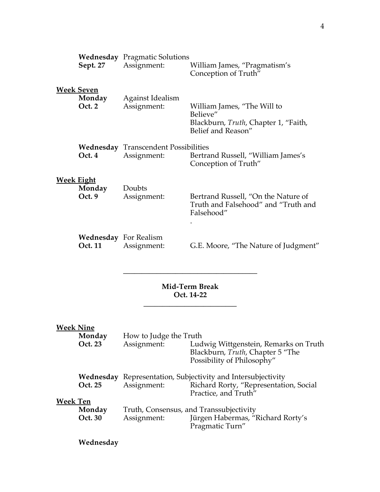|                   | Sept. 27                              | <b>Wednesday</b> Pragmatic Solutions<br>Assignment:        | William James, "Pragmatism's<br>Conception of Truth"                                                    |
|-------------------|---------------------------------------|------------------------------------------------------------|---------------------------------------------------------------------------------------------------------|
|                   | <b>Week Seven</b><br>Monday<br>Oct. 2 | <b>Against Idealism</b><br>Assignment:                     | William James, "The Will to<br>Believe"<br>Blackburn, Truth, Chapter 1, "Faith,<br>Belief and Reason"   |
|                   | Oct. 4                                | <b>Wednesday</b> Transcendent Possibilities<br>Assignment: | Bertrand Russell, "William James's<br>Conception of Truth"                                              |
| <b>Week Eight</b> | Monday<br>Oct. 9                      | Doubts<br>Assignment:                                      | Bertrand Russell, "On the Nature of<br>Truth and Falsehood" and "Truth and<br>Falsehood"                |
|                   | Oct. 11                               | <b>Wednesday</b> For Realism<br>Assignment:                | G.E. Moore, "The Nature of Judgment"                                                                    |
|                   | <b>Mid-Term Break</b><br>Oct. 14-22   |                                                            |                                                                                                         |
| <b>Week Nine</b>  | Monday<br>Oct. 23                     | How to Judge the Truth<br>Assignment:                      | Ludwig Wittgenstein, Remarks on Truth<br>Blackburn, Truth, Chapter 5 "The<br>Possibility of Philosophy" |

|                 |         | Possibility of Philosophy"                                          |                                                                |
|-----------------|---------|---------------------------------------------------------------------|----------------------------------------------------------------|
|                 |         | <b>Wednesday</b> Representation, Subjectivity and Intersubjectivity |                                                                |
|                 | Oct. 25 | Assignment:                                                         | Richard Rorty, "Representation, Social<br>Practice, and Truth" |
| <b>Week Ten</b> |         |                                                                     |                                                                |
|                 | Monday  | Truth, Consensus, and Transsubjectivity                             |                                                                |
|                 | Oct. 30 | Assignment:                                                         | Jürgen Habermas, "Richard Rorty's<br>Pragmatic Turn"           |

**Wednesday**